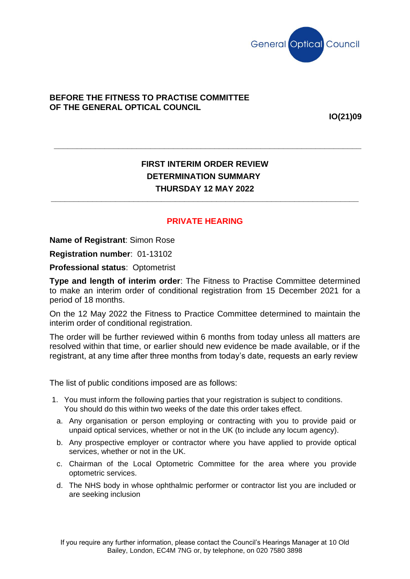

## **BEFORE THE FITNESS TO PRACTISE COMMITTEE OF THE GENERAL OPTICAL COUNCIL**

**IO(21)09**

## **FIRST INTERIM ORDER REVIEW DETERMINATION SUMMARY THURSDAY 12 MAY 2022**

**\_\_\_\_\_\_\_\_\_\_\_\_\_\_\_\_\_\_\_\_\_\_\_\_\_\_\_\_\_\_\_\_\_\_\_\_\_\_\_\_\_\_\_\_\_\_\_\_\_\_\_\_\_\_\_\_\_\_\_\_\_\_\_\_\_\_\_**

**\_\_\_\_\_\_\_\_\_\_\_\_\_\_\_\_\_\_\_\_\_\_\_\_\_\_\_\_\_\_\_\_\_\_\_\_\_\_\_\_\_\_\_\_\_\_\_\_\_\_\_\_\_\_\_\_\_\_\_\_\_\_\_\_\_\_\_**

## **PRIVATE HEARING**

**Name of Registrant**: Simon Rose

**Registration number**: 01-13102

**Professional status**: Optometrist

**Type and length of interim order**: The Fitness to Practise Committee determined to make an interim order of conditional registration from 15 December 2021 for a period of 18 months.

On the 12 May 2022 the Fitness to Practice Committee determined to maintain the interim order of conditional registration.

The order will be further reviewed within 6 months from today unless all matters are resolved within that time, or earlier should new evidence be made available, or if the registrant, at any time after three months from today's date, requests an early review

The list of public conditions imposed are as follows:

- 1. You must inform the following parties that your registration is subject to conditions. You should do this within two weeks of the date this order takes effect.
- a. Any organisation or person employing or contracting with you to provide paid or unpaid optical services, whether or not in the UK (to include any locum agency).
- b. Any prospective employer or contractor where you have applied to provide optical services, whether or not in the UK.
- c. Chairman of the Local Optometric Committee for the area where you provide optometric services.
- d. The NHS body in whose ophthalmic performer or contractor list you are included or are seeking inclusion